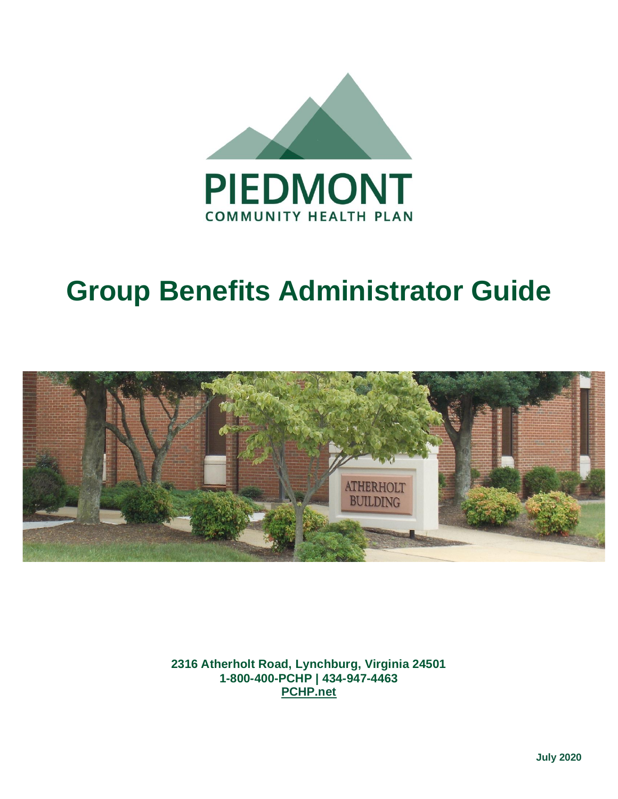

# **Group Benefits Administrator Guide**



**2316 Atherholt Road, Lynchburg, Virginia 24501 1-800-400-PCHP | 434-947-4463 [PCHP.net](http://www.pchp.net/)**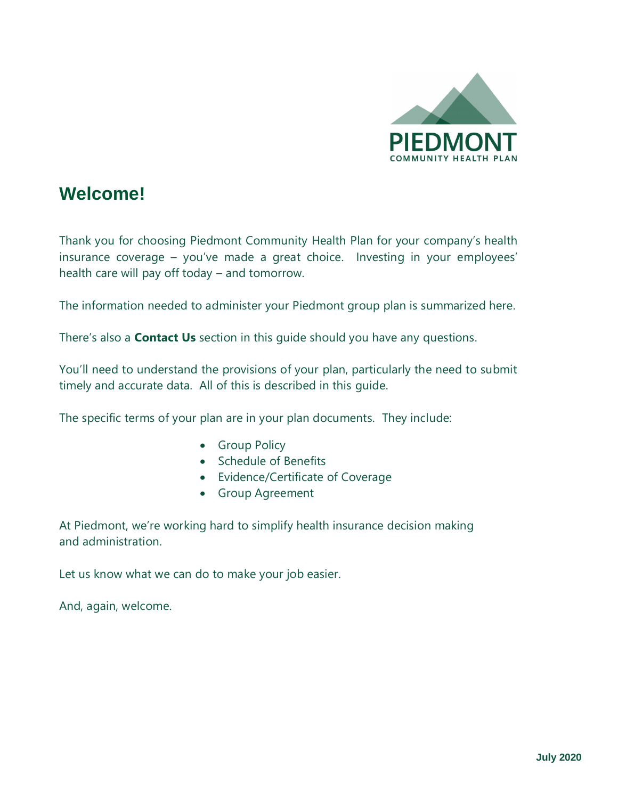

# **Welcome!**

Thank you for choosing Piedmont Community Health Plan for your company's health insurance coverage – you've made a great choice. Investing in your employees' health care will pay off today – and tomorrow.

The information needed to administer your Piedmont group plan is summarized here.

There's also a **Contact Us** section in this guide should you have any questions.

You'll need to understand the provisions of your plan, particularly the need to submit timely and accurate data. All of this is described in this guide.

The specific terms of your plan are in your plan documents. They include:

- Group Policy
- Schedule of Benefits
- Evidence/Certificate of Coverage
- Group Agreement

At Piedmont, we're working hard to simplify health insurance decision making and administration.

Let us know what we can do to make your job easier.

And, again, welcome.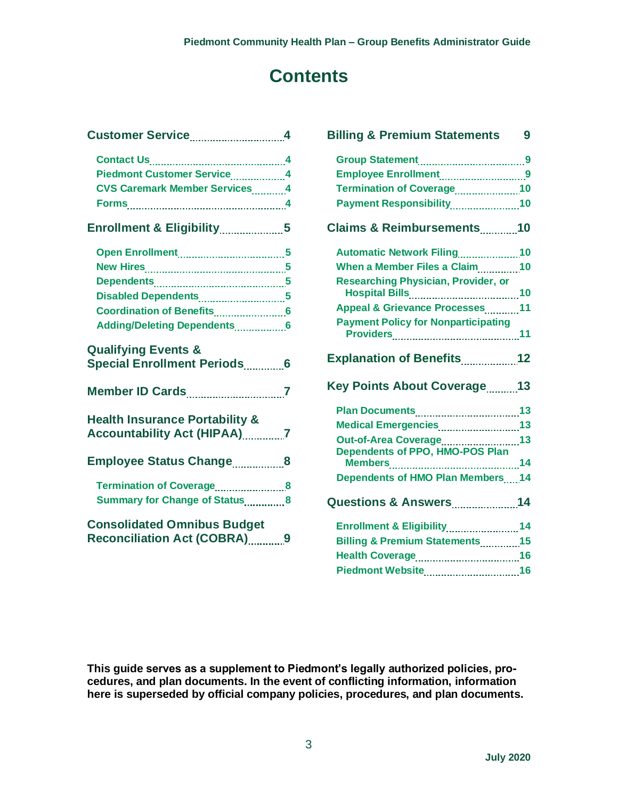# **Contents**

| Piedmont Customer Service4                |  |
|-------------------------------------------|--|
| <b>CVS Caremark Member Services</b> 4     |  |
| Forms 4                                   |  |
| Enrollment & Eligibility5                 |  |
|                                           |  |
|                                           |  |
|                                           |  |
| Disabled Dependents5                      |  |
|                                           |  |
| Adding/Deleting Dependents6               |  |
| <b>Qualifying Events &amp;</b>            |  |
| <b>Special Enrollment Periods</b> 6       |  |
|                                           |  |
| <b>Health Insurance Portability &amp;</b> |  |
| Accountability Act (HIPAA) 27             |  |
| <b>Employee Status Change8</b>            |  |
|                                           |  |
|                                           |  |
| Summary for Change of Status8             |  |
| <b>Consolidated Omnibus Budget</b>        |  |

| <b>Billing &amp; Premium Statements</b>                    | 9 |
|------------------------------------------------------------|---|
|                                                            |   |
| Employee Enrollment9                                       |   |
| Termination of Coverage10                                  |   |
| Payment Responsibility10                                   |   |
| Claims & Reimbursements10                                  |   |
|                                                            |   |
| When a Member Files a Claim10                              |   |
| <b>Researching Physician, Provider, or</b>                 |   |
| Appeal & Grievance Processes 11                            |   |
| <b>Payment Policy for Nonparticipating</b>                 |   |
| Explanation of Benefits12                                  |   |
| Key Points About Coverage 13                               |   |
|                                                            |   |
|                                                            |   |
|                                                            |   |
| Medical Emergencies13                                      |   |
| Out-of-Area Coverage 13<br>Dependents of PPO, HMO-POS Plan |   |
| Dependents of HMO Plan Members14                           |   |
| <b>Questions &amp; Answers14</b>                           |   |
| Enrollment & Eligibility14                                 |   |
| <b>Billing &amp; Premium Statements</b> 15                 |   |
|                                                            |   |

**This guide serves as a supplement to Piedmont's legally authorized policies, procedures, and plan documents. In the event of conflicting information, information here is superseded by official company policies, procedures, and plan documents.**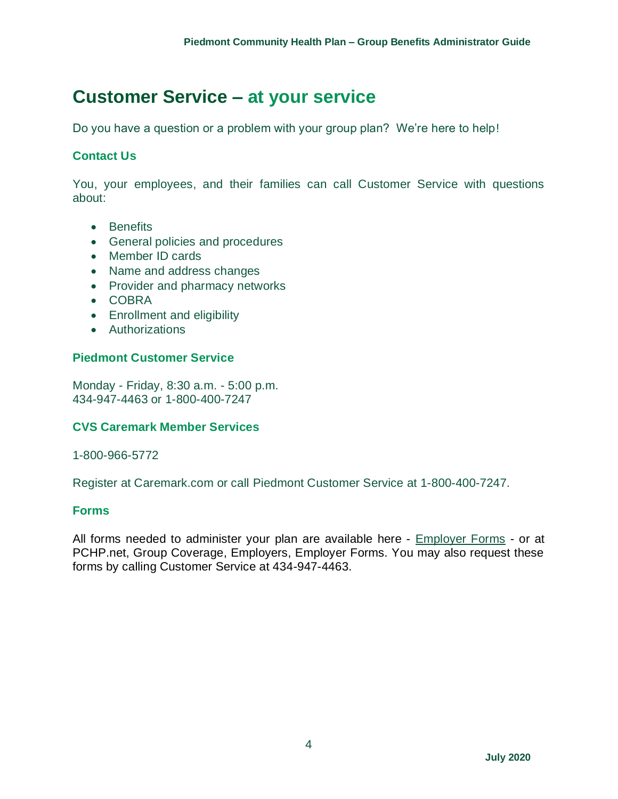# **Customer Service – at your service**

Do you have a question or a problem with your group plan? We're here to help!

#### **Contact Us**

You, your employees, and their families can call Customer Service with questions about:

- Benefits
- General policies and procedures
- Member ID cards
- Name and address changes
- Provider and pharmacy networks
- COBRA
- Enrollment and eligibility
- Authorizations

#### **Piedmont Customer Service**

Monday - Friday, 8:30 a.m. - 5:00 p.m. 434-947-4463 or 1-800-400-7247

#### **CVS Caremark Member Services**

1-800-966-5772

Register at Caremark.com or call Piedmont Customer Service at 1-800-400-7247.

#### **Forms**

All forms needed to administer your plan are available here - [Employer Forms](https://pchp.net/index.php/group-coverage-employers/employer-forms.html) - or at PCHP.net, Group Coverage, Employers, Employer Forms. You may also request these forms by calling Customer Service at 434-947-4463.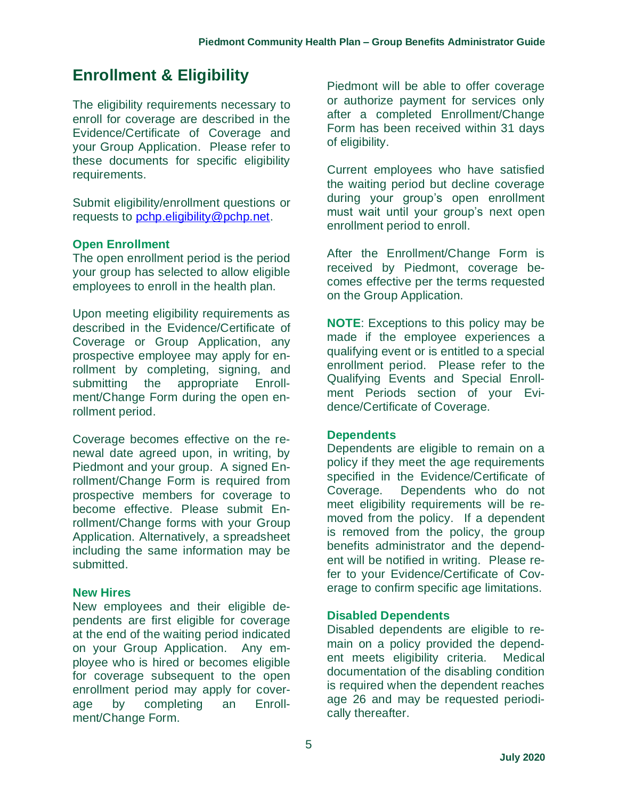# **Enrollment & Eligibility**

The eligibility requirements necessary to enroll for coverage are described in the Evidence/Certificate of Coverage and your Group Application. Please refer to these documents for specific eligibility requirements.

Submit eligibility/enrollment questions or requests to [pchp.eligibility@pchp.net.](mailto:pchp.eligibility@pchp.net)

#### **Open Enrollment**

The open enrollment period is the period your group has selected to allow eligible employees to enroll in the health plan.

Upon meeting eligibility requirements as described in the Evidence/Certificate of Coverage or Group Application, any prospective employee may apply for enrollment by completing, signing, and<br>submitting the appropriate Enrollsubmitting the appropriate Enrollment/Change Form during the open enrollment period.

Coverage becomes effective on the renewal date agreed upon, in writing, by Piedmont and your group. A signed Enrollment/Change Form is required from prospective members for coverage to become effective. Please submit Enrollment/Change forms with your Group Application. Alternatively, a spreadsheet including the same information may be submitted.

#### **New Hires**

New employees and their eligible dependents are first eligible for coverage at the end of the waiting period indicated on your Group Application. Any employee who is hired or becomes eligible for coverage subsequent to the open enrollment period may apply for coverage by completing an Enrollment/Change Form.

Piedmont will be able to offer coverage or authorize payment for services only after a completed Enrollment/Change Form has been received within 31 days of eligibility.

Current employees who have satisfied the waiting period but decline coverage during your group's open enrollment must wait until your group's next open enrollment period to enroll.

After the Enrollment/Change Form is received by Piedmont, coverage becomes effective per the terms requested on the Group Application.

**NOTE**: Exceptions to this policy may be made if the employee experiences a qualifying event or is entitled to a special enrollment period. Please refer to the Qualifying Events and Special Enrollment Periods section of your Evidence/Certificate of Coverage.

#### **Dependents**

Dependents are eligible to remain on a policy if they meet the age requirements specified in the Evidence/Certificate of Coverage. Dependents who do not meet eligibility requirements will be removed from the policy. If a dependent is removed from the policy, the group benefits administrator and the dependent will be notified in writing. Please refer to your Evidence/Certificate of Coverage to confirm specific age limitations.

#### **Disabled Dependents**

Disabled dependents are eligible to remain on a policy provided the dependent meets eligibility criteria. Medical documentation of the disabling condition is required when the dependent reaches age 26 and may be requested periodically thereafter.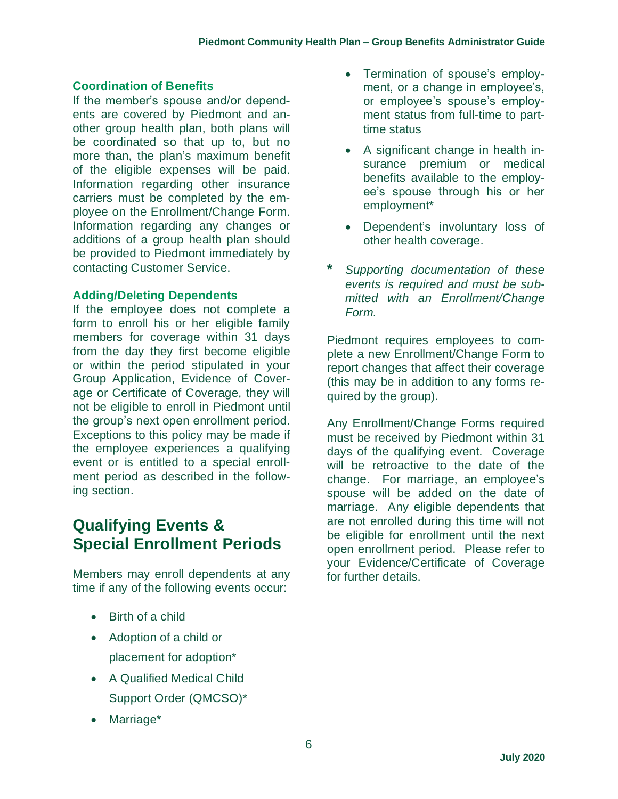#### **Coordination of Benefits**

If the member's spouse and/or dependents are covered by Piedmont and another group health plan, both plans will be coordinated so that up to, but no more than, the plan's maximum benefit of the eligible expenses will be paid. Information regarding other insurance carriers must be completed by the employee on the Enrollment/Change Form. Information regarding any changes or additions of a group health plan should be provided to Piedmont immediately by contacting Customer Service.

#### **Adding/Deleting Dependents**

If the employee does not complete a form to enroll his or her eligible family members for coverage within 31 days from the day they first become eligible or within the period stipulated in your Group Application, Evidence of Coverage or Certificate of Coverage, they will not be eligible to enroll in Piedmont until the group's next open enrollment period. Exceptions to this policy may be made if the employee experiences a qualifying event or is entitled to a special enrollment period as described in the following section.

# **Qualifying Events & Special Enrollment Periods**

Members may enroll dependents at any time if any of the following events occur:

- Birth of a child
- Adoption of a child or placement for adoption\*
- A Qualified Medical Child Support Order (QMCSO)\*
- Marriage\*
- Termination of spouse's employment, or a change in employee's, or employee's spouse's employment status from full-time to parttime status
- A significant change in health insurance premium or medical benefits available to the employee's spouse through his or her employment\*
- Dependent's involuntary loss of other health coverage.
- **\*** *Supporting documentation of these events is required and must be submitted with an Enrollment/Change Form.*

Piedmont requires employees to complete a new Enrollment/Change Form to report changes that affect their coverage (this may be in addition to any forms required by the group).

Any Enrollment/Change Forms required must be received by Piedmont within 31 days of the qualifying event. Coverage will be retroactive to the date of the change. For marriage, an employee's spouse will be added on the date of marriage. Any eligible dependents that are not enrolled during this time will not be eligible for enrollment until the next open enrollment period. Please refer to your Evidence/Certificate of Coverage for further details.

6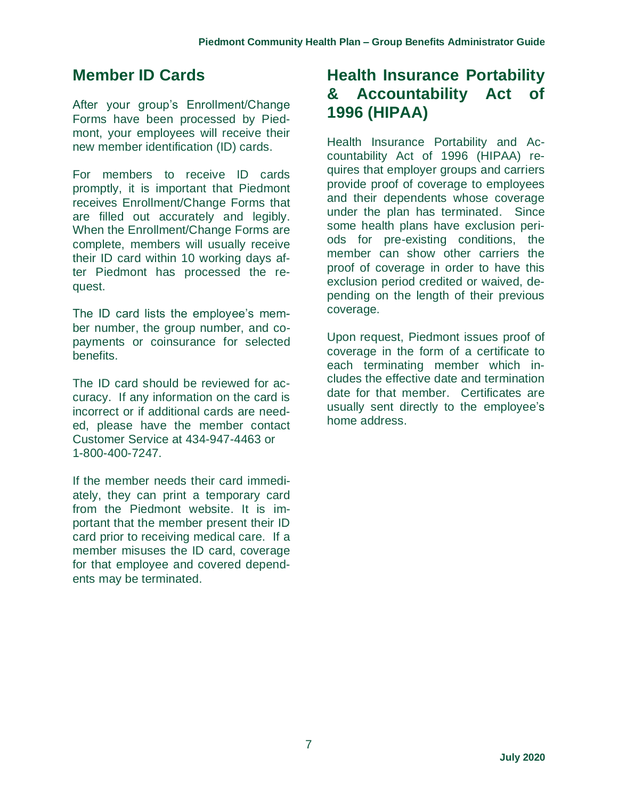# **Member ID Cards**

After your group's Enrollment/Change Forms have been processed by Piedmont, your employees will receive their new member identification (ID) cards.

For members to receive ID cards promptly, it is important that Piedmont receives Enrollment/Change Forms that are filled out accurately and legibly. When the Enrollment/Change Forms are complete, members will usually receive their ID card within 10 working days after Piedmont has processed the request.

The ID card lists the employee's member number, the group number, and copayments or coinsurance for selected benefits.

The ID card should be reviewed for accuracy. If any information on the card is incorrect or if additional cards are needed, please have the member contact Customer Service at 434-947-4463 or 1-800-400-7247.

If the member needs their card immediately, they can print a temporary card from the Piedmont website. It is important that the member present their ID card prior to receiving medical care. If a member misuses the ID card, coverage for that employee and covered dependents may be terminated.

# **Health Insurance Portability & Accountability Act of 1996 (HIPAA)**

Health Insurance Portability and Accountability Act of 1996 (HIPAA) requires that employer groups and carriers provide proof of coverage to employees and their dependents whose coverage under the plan has terminated. Since some health plans have exclusion periods for pre-existing conditions, the member can show other carriers the proof of coverage in order to have this exclusion period credited or waived, depending on the length of their previous coverage.

Upon request, Piedmont issues proof of coverage in the form of a certificate to each terminating member which includes the effective date and termination date for that member. Certificates are usually sent directly to the employee's home address.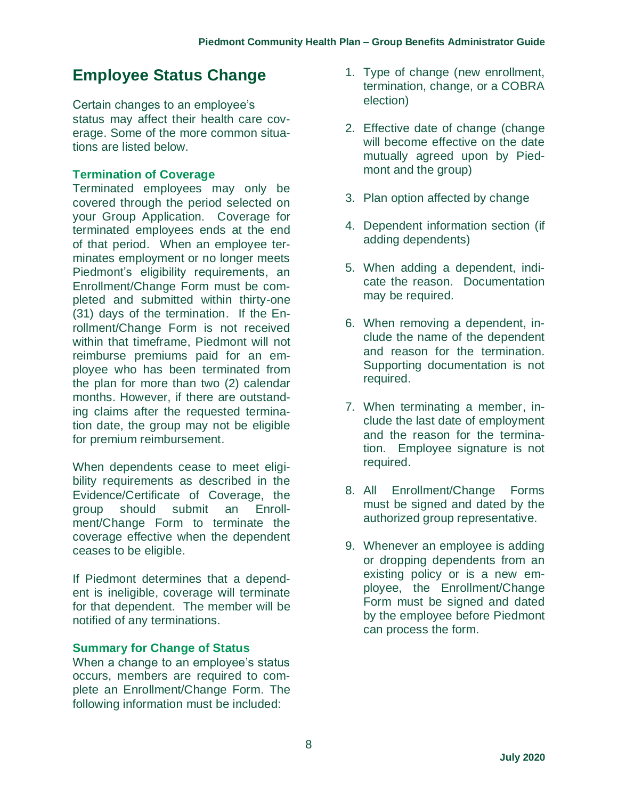# **Employee Status Change**

Certain changes to an employee's status may affect their health care coverage. Some of the more common situations are listed below.

#### **Termination of Coverage**

Terminated employees may only be covered through the period selected on your Group Application. Coverage for terminated employees ends at the end of that period. When an employee terminates employment or no longer meets Piedmont's eligibility requirements, an Enrollment/Change Form must be completed and submitted within thirty-one (31) days of the termination. If the Enrollment/Change Form is not received within that timeframe, Piedmont will not reimburse premiums paid for an employee who has been terminated from the plan for more than two (2) calendar months. However, if there are outstanding claims after the requested termination date, the group may not be eligible for premium reimbursement.

When dependents cease to meet eligibility requirements as described in the Evidence/Certificate of Coverage, the group should submit an Enrollment/Change Form to terminate the coverage effective when the dependent ceases to be eligible.

If Piedmont determines that a dependent is ineligible, coverage will terminate for that dependent. The member will be notified of any terminations.

#### **Summary for Change of Status**

When a change to an employee's status occurs, members are required to complete an Enrollment/Change Form. The following information must be included:

- 1. Type of change (new enrollment, termination, change, or a COBRA election)
- 2. Effective date of change (change will become effective on the date mutually agreed upon by Piedmont and the group)
- 3. Plan option affected by change
- 4. Dependent information section (if adding dependents)
- 5. When adding a dependent, indicate the reason. Documentation may be required.
- 6. When removing a dependent, include the name of the dependent and reason for the termination. Supporting documentation is not required.
- 7. When terminating a member, include the last date of employment and the reason for the termination. Employee signature is not required.
- 8. All Enrollment/Change Forms must be signed and dated by the authorized group representative.
- 9. Whenever an employee is adding or dropping dependents from an existing policy or is a new employee, the Enrollment/Change Form must be signed and dated by the employee before Piedmont can process the form.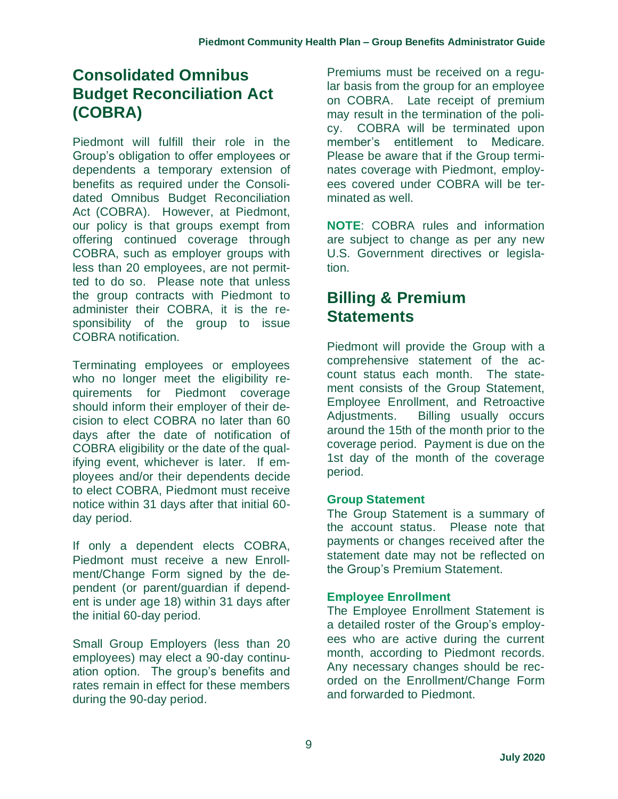# **Consolidated Omnibus Budget Reconciliation Act (COBRA)**

Piedmont will fulfill their role in the Group's obligation to offer employees or dependents a temporary extension of benefits as required under the Consolidated Omnibus Budget Reconciliation Act (COBRA). However, at Piedmont, our policy is that groups exempt from offering continued coverage through COBRA, such as employer groups with less than 20 employees, are not permitted to do so. Please note that unless the group contracts with Piedmont to administer their COBRA, it is the responsibility of the group to issue COBRA notification.

Terminating employees or employees who no longer meet the eligibility requirements for Piedmont coverage should inform their employer of their decision to elect COBRA no later than 60 days after the date of notification of COBRA eligibility or the date of the qualifying event, whichever is later. If employees and/or their dependents decide to elect COBRA, Piedmont must receive notice within 31 days after that initial 60 day period.

If only a dependent elects COBRA, Piedmont must receive a new Enrollment/Change Form signed by the dependent (or parent/guardian if dependent is under age 18) within 31 days after the initial 60-day period.

Small Group Employers (less than 20 employees) may elect a 90-day continuation option. The group's benefits and rates remain in effect for these members during the 90-day period.

Premiums must be received on a regular basis from the group for an employee on COBRA. Late receipt of premium may result in the termination of the policy. COBRA will be terminated upon member's entitlement to Medicare. Please be aware that if the Group terminates coverage with Piedmont, employees covered under COBRA will be terminated as well.

**NOTE**: COBRA rules and information are subject to change as per any new U.S. Government directives or legislation.

## **Billing & Premium Statements**

Piedmont will provide the Group with a comprehensive statement of the account status each month. The statement consists of the Group Statement, Employee Enrollment, and Retroactive Adjustments. Billing usually occurs around the 15th of the month prior to the coverage period. Payment is due on the 1st day of the month of the coverage period.

#### **Group Statement**

The Group Statement is a summary of the account status. Please note that payments or changes received after the statement date may not be reflected on the Group's Premium Statement.

#### **Employee Enrollment**

The Employee Enrollment Statement is a detailed roster of the Group's employees who are active during the current month, according to Piedmont records. Any necessary changes should be recorded on the Enrollment/Change Form and forwarded to Piedmont.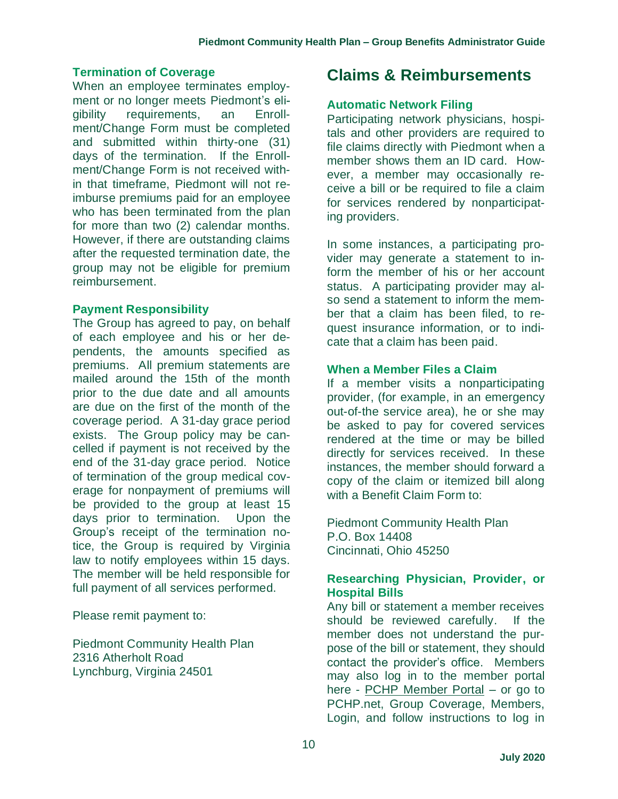#### **Termination of Coverage**

When an employee terminates employment or no longer meets Piedmont's eligibility requirements, an Enrollment/Change Form must be completed and submitted within thirty-one (31) days of the termination. If the Enrollment/Change Form is not received within that timeframe, Piedmont will not reimburse premiums paid for an employee who has been terminated from the plan for more than two (2) calendar months. However, if there are outstanding claims after the requested termination date, the group may not be eligible for premium reimbursement.

#### **Payment Responsibility**

The Group has agreed to pay, on behalf of each employee and his or her dependents, the amounts specified as premiums. All premium statements are mailed around the 15th of the month prior to the due date and all amounts are due on the first of the month of the coverage period. A 31-day grace period exists. The Group policy may be cancelled if payment is not received by the end of the 31-day grace period. Notice of termination of the group medical coverage for nonpayment of premiums will be provided to the group at least 15 days prior to termination. Upon the Group's receipt of the termination notice, the Group is required by Virginia law to notify employees within 15 days. The member will be held responsible for full payment of all services performed.

Please remit payment to:

Piedmont Community Health Plan 2316 Atherholt Road Lynchburg, Virginia 24501

### **Claims & Reimbursements**

#### **Automatic Network Filing**

Participating network physicians, hospitals and other providers are required to file claims directly with Piedmont when a member shows them an ID card. However, a member may occasionally receive a bill or be required to file a claim for services rendered by nonparticipating providers.

In some instances, a participating provider may generate a statement to inform the member of his or her account status. A participating provider may also send a statement to inform the member that a claim has been filed, to request insurance information, or to indicate that a claim has been paid.

#### **When a Member Files a Claim**

If a member visits a nonparticipating provider, (for example, in an emergency out-of-the service area), he or she may be asked to pay for covered services rendered at the time or may be billed directly for services received. In these instances, the member should forward a copy of the claim or itemized bill along with a Benefit Claim Form to:

Piedmont Community Health Plan P.O. Box 14408 Cincinnati, Ohio 45250

#### **Researching Physician, Provider, or Hospital Bills**

Any bill or statement a member receives should be reviewed carefully. If the member does not understand the purpose of the bill or statement, they should contact the provider's office. Members may also log in to the member portal here - [PCHP Member Portal](https://secure.healthx.com/v3app/publicservice/loginv1/login.aspx?bc=7c48bcb6-01a3-44b1-b21e-d9cbc6914daa&serviceid=abd032ed-7003-4eb0-a42c-fa9dba1e31ab) – or go to PCHP.net, Group Coverage, Members, Login, and follow instructions to log in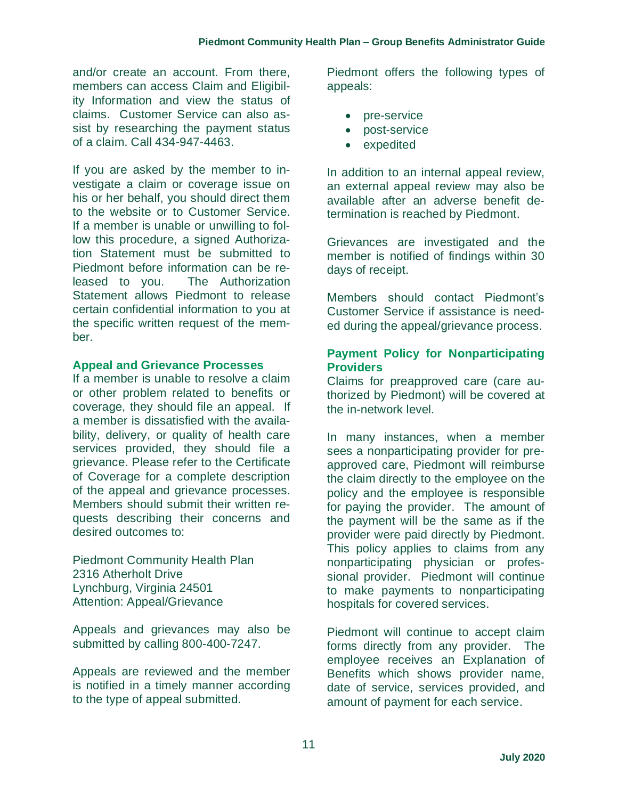and/or create an account. From there, members can access Claim and Eligibility Information and view the status of claims. Customer Service can also assist by researching the payment status of a claim. Call 434-947-4463.

If you are asked by the member to investigate a claim or coverage issue on his or her behalf, you should direct them to the website or to Customer Service. If a member is unable or unwilling to follow this procedure, a signed Authorization Statement must be submitted to Piedmont before information can be released to you. The Authorization Statement allows Piedmont to release certain confidential information to you at the specific written request of the member.

#### **Appeal and Grievance Processes**

If a member is unable to resolve a claim or other problem related to benefits or coverage, they should file an appeal. If a member is dissatisfied with the availability, delivery, or quality of health care services provided, they should file a grievance. Please refer to the Certificate of Coverage for a complete description of the appeal and grievance processes. Members should submit their written requests describing their concerns and desired outcomes to:

Piedmont Community Health Plan 2316 Atherholt Drive Lynchburg, Virginia 24501 Attention: Appeal/Grievance

Appeals and grievances may also be submitted by calling 800-400-7247.

Appeals are reviewed and the member is notified in a timely manner according to the type of appeal submitted.

Piedmont offers the following types of appeals:

- pre-service
- post-service
- expedited

In addition to an internal appeal review, an external appeal review may also be available after an adverse benefit determination is reached by Piedmont.

Grievances are investigated and the member is notified of findings within 30 days of receipt.

Members should contact Piedmont's Customer Service if assistance is needed during the appeal/grievance process.

#### **Payment Policy for Nonparticipating Providers**

Claims for preapproved care (care authorized by Piedmont) will be covered at the in-network level.

In many instances, when a member sees a nonparticipating provider for preapproved care, Piedmont will reimburse the claim directly to the employee on the policy and the employee is responsible for paying the provider. The amount of the payment will be the same as if the provider were paid directly by Piedmont. This policy applies to claims from any nonparticipating physician or professional provider. Piedmont will continue to make payments to nonparticipating hospitals for covered services.

Piedmont will continue to accept claim forms directly from any provider. The employee receives an Explanation of Benefits which shows provider name, date of service, services provided, and amount of payment for each service.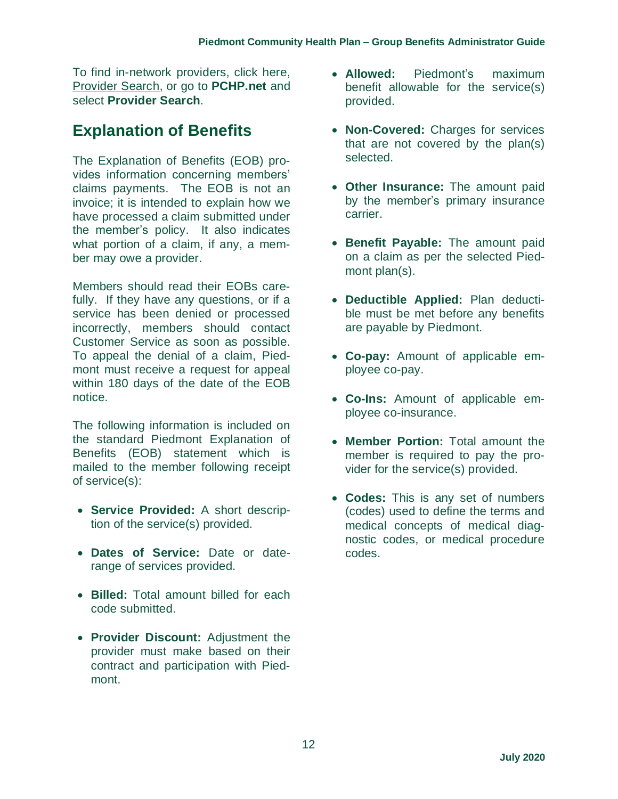To find in-network providers, click here, [Provider Search,](https://providersearch.pchp.net/) or go to **PCHP.net** and select **Provider Search**.

# **Explanation of Benefits**

The Explanation of Benefits (EOB) provides information concerning members' claims payments. The EOB is not an invoice; it is intended to explain how we have processed a claim submitted under the member's policy. It also indicates what portion of a claim, if any, a member may owe a provider.

Members should read their EOBs carefully. If they have any questions, or if a service has been denied or processed incorrectly, members should contact Customer Service as soon as possible. To appeal the denial of a claim, Piedmont must receive a request for appeal within 180 days of the date of the EOB notice.

The following information is included on the standard Piedmont Explanation of Benefits (EOB) statement which is mailed to the member following receipt of service(s):

- **Service Provided:** A short description of the service(s) provided.
- **Dates of Service:** Date or daterange of services provided.
- **Billed:** Total amount billed for each code submitted.
- **Provider Discount:** Adjustment the provider must make based on their contract and participation with Piedmont.
- **Allowed:** Piedmont's maximum benefit allowable for the service(s) provided.
- **Non-Covered:** Charges for services that are not covered by the plan(s) selected.
- **Other Insurance:** The amount paid by the member's primary insurance carrier.
- **Benefit Payable:** The amount paid on a claim as per the selected Piedmont plan(s).
- **Deductible Applied:** Plan deductible must be met before any benefits are payable by Piedmont.
- **Co-pay:** Amount of applicable employee co-pay.
- **Co-Ins:** Amount of applicable employee co-insurance.
- **Member Portion:** Total amount the member is required to pay the provider for the service(s) provided.
- **Codes:** This is any set of numbers (codes) used to define the terms and medical concepts of medical diagnostic codes, or medical procedure codes.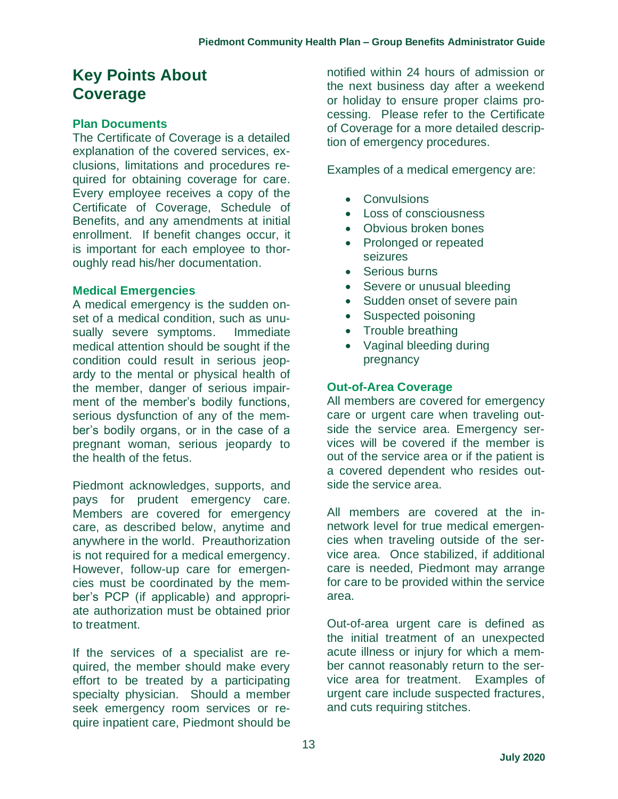## **Key Points About Coverage**

#### **Plan Documents**

The Certificate of Coverage is a detailed explanation of the covered services, exclusions, limitations and procedures required for obtaining coverage for care. Every employee receives a copy of the Certificate of Coverage, Schedule of Benefits, and any amendments at initial enrollment. If benefit changes occur, it is important for each employee to thoroughly read his/her documentation.

#### **Medical Emergencies**

A medical emergency is the sudden onset of a medical condition, such as unusually severe symptoms. Immediate medical attention should be sought if the condition could result in serious jeopardy to the mental or physical health of the member, danger of serious impairment of the member's bodily functions, serious dysfunction of any of the member's bodily organs, or in the case of a pregnant woman, serious jeopardy to the health of the fetus.

Piedmont acknowledges, supports, and pays for prudent emergency care. Members are covered for emergency care, as described below, anytime and anywhere in the world. Preauthorization is not required for a medical emergency. However, follow-up care for emergencies must be coordinated by the member's PCP (if applicable) and appropriate authorization must be obtained prior to treatment.

If the services of a specialist are required, the member should make every effort to be treated by a participating specialty physician. Should a member seek emergency room services or require inpatient care, Piedmont should be notified within 24 hours of admission or the next business day after a weekend or holiday to ensure proper claims processing. Please refer to the Certificate of Coverage for a more detailed description of emergency procedures.

Examples of a medical emergency are:

- Convulsions
- Loss of consciousness
- Obvious broken bones
- Prolonged or repeated seizures
- Serious burns
- Severe or unusual bleeding
- Sudden onset of severe pain
- Suspected poisoning
- Trouble breathing
- Vaginal bleeding during pregnancy

#### **Out-of-Area Coverage**

All members are covered for emergency care or urgent care when traveling outside the service area. Emergency services will be covered if the member is out of the service area or if the patient is a covered dependent who resides outside the service area.

All members are covered at the innetwork level for true medical emergencies when traveling outside of the service area. Once stabilized, if additional care is needed, Piedmont may arrange for care to be provided within the service area.

Out-of-area urgent care is defined as the initial treatment of an unexpected acute illness or injury for which a member cannot reasonably return to the service area for treatment. Examples of urgent care include suspected fractures, and cuts requiring stitches.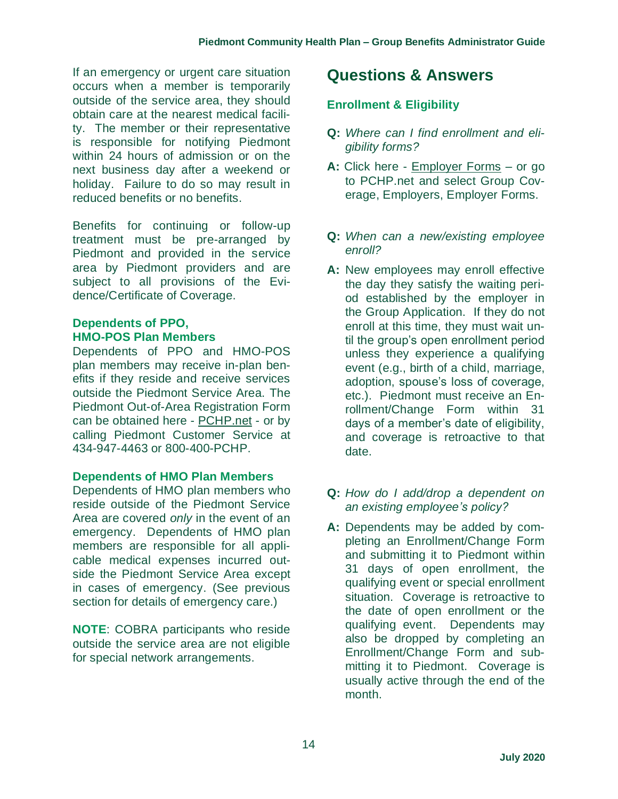If an emergency or urgent care situation occurs when a member is temporarily outside of the service area, they should obtain care at the nearest medical facility. The member or their representative is responsible for notifying Piedmont within 24 hours of admission or on the next business day after a weekend or holiday. Failure to do so may result in reduced benefits or no benefits.

Benefits for continuing or follow-up treatment must be pre-arranged by Piedmont and provided in the service area by Piedmont providers and are subject to all provisions of the Evidence/Certificate of Coverage.

#### **Dependents of PPO, HMO-POS Plan Members**

Dependents of PPO and HMO-POS plan members may receive in-plan benefits if they reside and receive services outside the Piedmont Service Area. The Piedmont Out-of-Area Registration Form can be obtained here - [PCHP.net](http://www.pchp.net/) - or by calling Piedmont Customer Service at 434-947-4463 or 800-400-PCHP.

#### **Dependents of HMO Plan Members**

Dependents of HMO plan members who reside outside of the Piedmont Service Area are covered *only* in the event of an emergency. Dependents of HMO plan members are responsible for all applicable medical expenses incurred outside the Piedmont Service Area except in cases of emergency. (See previous section for details of emergency care.)

**NOTE**: COBRA participants who reside outside the service area are not eligible for special network arrangements.

### **Questions & Answers**

#### **Enrollment & Eligibility**

- **Q:** *Where can I find enrollment and eligibility forms?*
- **A:** Click here [Employer Forms](https://pchp.net/index.php/group-coverage-employers/employer-forms.html) or go to [PCHP.net](http://www.pchp.net/) and select Group Coverage, Employers, Employer Forms.
- **Q:** *When can a new/existing employee enroll?*
- **A:** New employees may enroll effective the day they satisfy the waiting period established by the employer in the Group Application. If they do not enroll at this time, they must wait until the group's open enrollment period unless they experience a qualifying event (e.g., birth of a child, marriage, adoption, spouse's loss of coverage, etc.). Piedmont must receive an Enrollment/Change Form within 31 days of a member's date of eligibility, and coverage is retroactive to that date.
- **Q:** *How do I add/drop a dependent on an existing employee's policy?*
- **A:** Dependents may be added by completing an Enrollment/Change Form and submitting it to Piedmont within 31 days of open enrollment, the qualifying event or special enrollment situation. Coverage is retroactive to the date of open enrollment or the qualifying event. Dependents may also be dropped by completing an Enrollment/Change Form and submitting it to Piedmont. Coverage is usually active through the end of the month.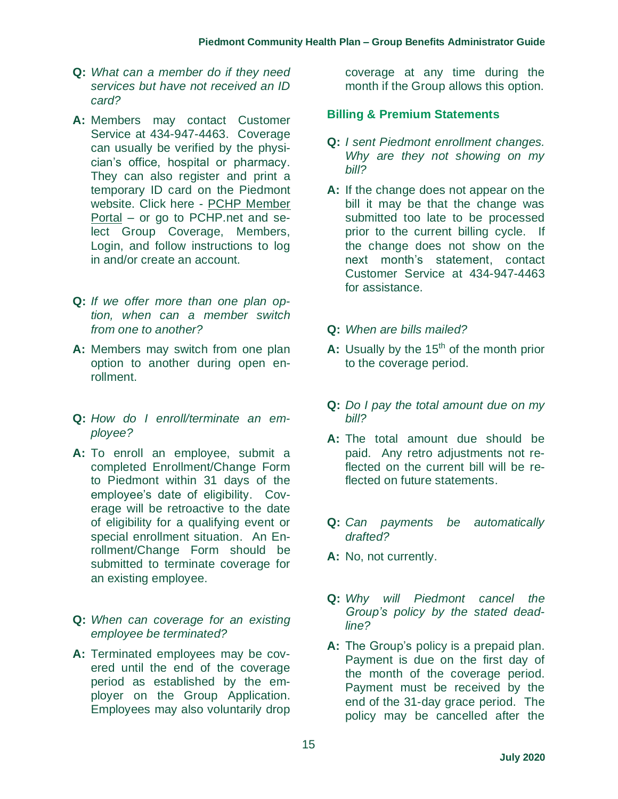- **Q:** *What can a member do if they need services but have not received an ID card?*
- **A:** Members may contact Customer Service at 434-947-4463. Coverage can usually be verified by the physician's office, hospital or pharmacy. They can also register and print a temporary ID card on the Piedmont website. Click here - [PCHP Member](https://secure.healthx.com/v3app/publicservice/loginv1/login.aspx?bc=7c48bcb6-01a3-44b1-b21e-d9cbc6914daa&serviceid=abd032ed-7003-4eb0-a42c-fa9dba1e31ab)  [Portal](https://secure.healthx.com/v3app/publicservice/loginv1/login.aspx?bc=7c48bcb6-01a3-44b1-b21e-d9cbc6914daa&serviceid=abd032ed-7003-4eb0-a42c-fa9dba1e31ab) – or go to PCHP.net and select Group Coverage, Members, Login, and follow instructions to log in and/or create an account.
- **Q:** *If we offer more than one plan option, when can a member switch from one to another?*
- **A:** Members may switch from one plan option to another during open enrollment.
- **Q:** *How do I enroll/terminate an employee?*
- **A:** To enroll an employee, submit a completed Enrollment/Change Form to Piedmont within 31 days of the employee's date of eligibility. Coverage will be retroactive to the date of eligibility for a qualifying event or special enrollment situation. An Enrollment/Change Form should be submitted to terminate coverage for an existing employee.
- **Q:** *When can coverage for an existing employee be terminated?*
- **A:** Terminated employees may be covered until the end of the coverage period as established by the employer on the Group Application. Employees may also voluntarily drop

coverage at any time during the month if the Group allows this option.

#### **Billing & Premium Statements**

- **Q:** *I sent Piedmont enrollment changes. Why are they not showing on my bill?*
- **A:** If the change does not appear on the bill it may be that the change was submitted too late to be processed prior to the current billing cycle. If the change does not show on the next month's statement, contact Customer Service at 434-947-4463 for assistance.
- **Q:** *When are bills mailed?*
- **A:** Usually by the 15<sup>th</sup> of the month prior to the coverage period.
- **Q:** *Do I pay the total amount due on my bill?*
- **A:** The total amount due should be paid. Any retro adjustments not reflected on the current bill will be reflected on future statements.
- **Q:** *Can payments be automatically drafted?*
- **A:** No, not currently.
- **Q:** *Why will Piedmont cancel the Group's policy by the stated deadline?*
- **A:** The Group's policy is a prepaid plan. Payment is due on the first day of the month of the coverage period. Payment must be received by the end of the 31-day grace period. The policy may be cancelled after the